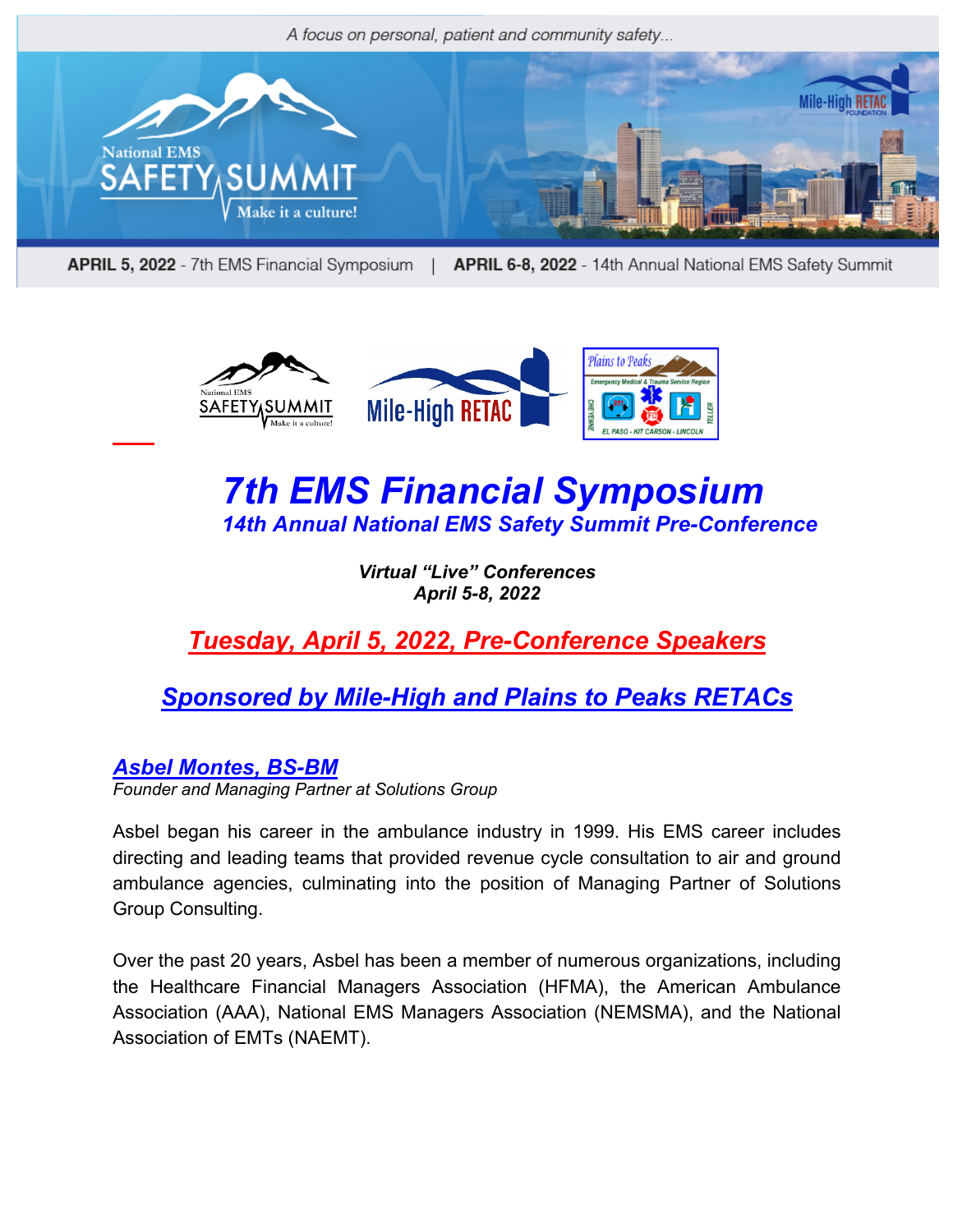

APRIL 5, 2022 - 7th EMS Financial Symposium | APRIL 6-8, 2022 - 14th Annual National EMS Safety Summit



# *7th EMS Financial Symposium 14th Annual National EMS Safety Summit Pre-Conference*

*Virtual "Live" Conferences April 5-8, 2022*

*Tuesday, April 5, 2022, Pre-Conference Speakers*

## *Sponsored by Mile-High and Plains to Peaks RETACs*

*Asbel Montes, BS-BM* 

*Founder and Managing Partner at Solutions Group*

Asbel began his career in the ambulance industry in 1999. His EMS career includes directing and leading teams that provided revenue cycle consultation to air and ground ambulance agencies, culminating into the position of Managing Partner of Solutions Group Consulting.

Over the past 20 years, Asbel has been a member of numerous organizations, including the Healthcare Financial Managers Association (HFMA), the American Ambulance Association (AAA), National EMS Managers Association (NEMSMA), and the National Association of EMTs (NAEMT).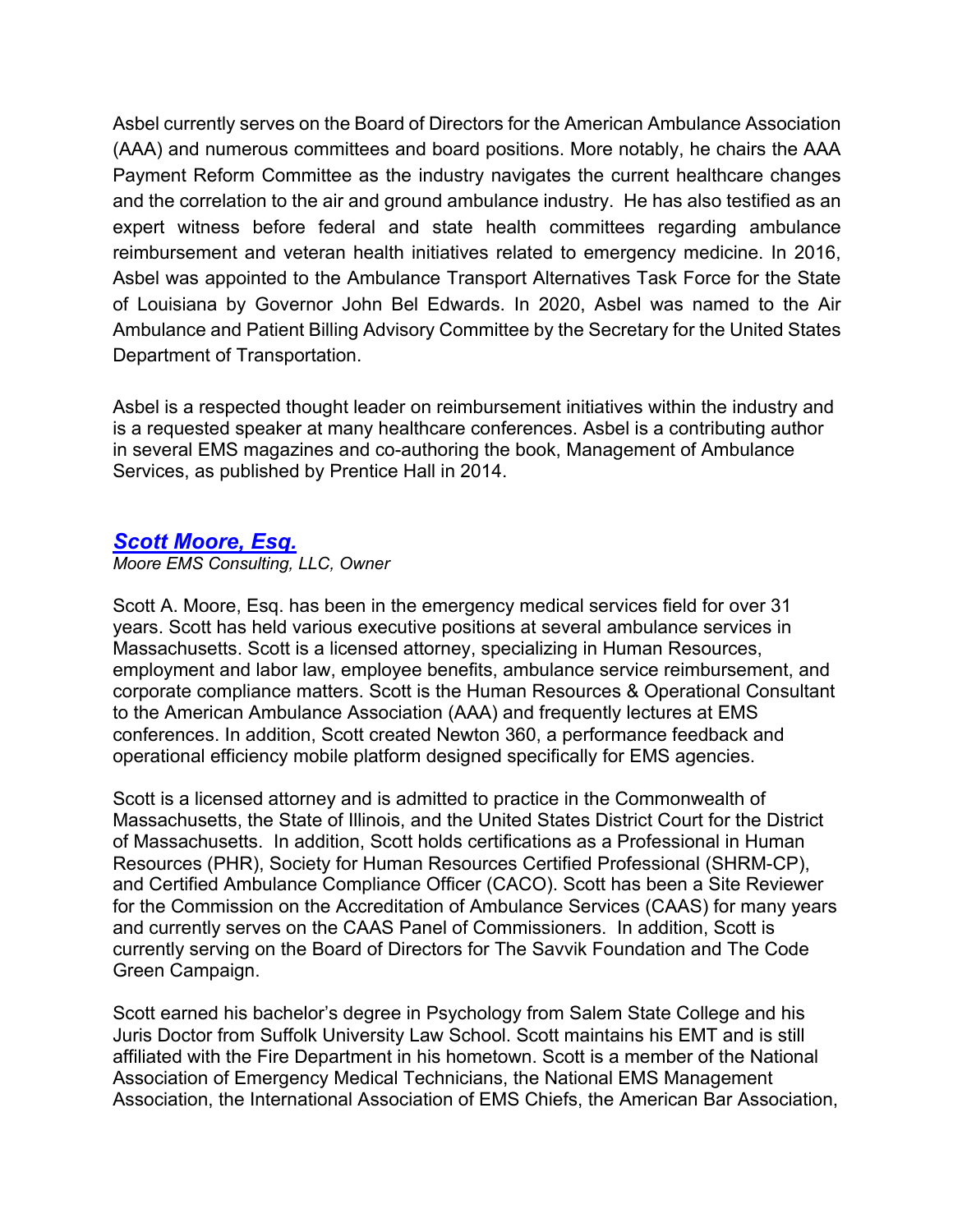Asbel currently serves on the Board of Directors for the American Ambulance Association (AAA) and numerous committees and board positions. More notably, he chairs the AAA Payment Reform Committee as the industry navigates the current healthcare changes and the correlation to the air and ground ambulance industry. He has also testified as an expert witness before federal and state health committees regarding ambulance reimbursement and veteran health initiatives related to emergency medicine. In 2016, Asbel was appointed to the Ambulance Transport Alternatives Task Force for the State of Louisiana by Governor John Bel Edwards. In 2020, Asbel was named to the Air Ambulance and Patient Billing Advisory Committee by the Secretary for the United States Department of Transportation.

Asbel is a respected thought leader on reimbursement initiatives within the industry and is a requested speaker at many healthcare conferences. Asbel is a contributing author in several EMS magazines and co-authoring the book, Management of Ambulance Services, as published by Prentice Hall in 2014.

#### *Scott Moore, Esq.*

*Moore EMS Consulting, LLC, Owner*

Scott A. Moore, Esq. has been in the emergency medical services field for over 31 years. Scott has held various executive positions at several ambulance services in Massachusetts. Scott is a licensed attorney, specializing in Human Resources, employment and labor law, employee benefits, ambulance service reimbursement, and corporate compliance matters. Scott is the Human Resources & Operational Consultant to the American Ambulance Association (AAA) and frequently lectures at EMS conferences. In addition, Scott created Newton 360, a performance feedback and operational efficiency mobile platform designed specifically for EMS agencies.

Scott is a licensed attorney and is admitted to practice in the Commonwealth of Massachusetts, the State of Illinois, and the United States District Court for the District of Massachusetts. In addition, Scott holds certifications as a Professional in Human Resources (PHR), Society for Human Resources Certified Professional (SHRM-CP), and Certified Ambulance Compliance Officer (CACO). Scott has been a Site Reviewer for the Commission on the Accreditation of Ambulance Services (CAAS) for many years and currently serves on the CAAS Panel of Commissioners. In addition, Scott is currently serving on the Board of Directors for The Savvik Foundation and The Code Green Campaign.

Scott earned his bachelor's degree in Psychology from Salem State College and his Juris Doctor from Suffolk University Law School. Scott maintains his EMT and is still affiliated with the Fire Department in his hometown. Scott is a member of the National Association of Emergency Medical Technicians, the National EMS Management Association, the International Association of EMS Chiefs, the American Bar Association,